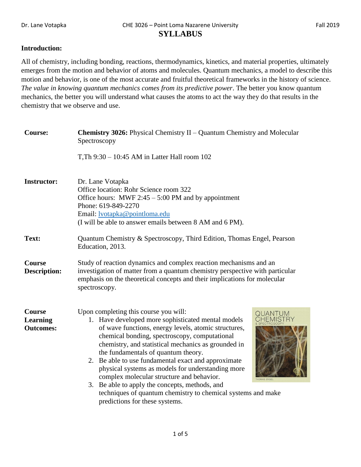## **Introduction:**

All of chemistry, including bonding, reactions, thermodynamics, kinetics, and material properties, ultimately emerges from the motion and behavior of atoms and molecules. Quantum mechanics, a model to describe this motion and behavior, is one of the most accurate and fruitful theoretical frameworks in the history of science. *The value in knowing quantum mechanics comes from its predictive power*. The better you know quantum mechanics, the better you will understand what causes the atoms to act the way they do that results in the chemistry that we observe and use.

| <b>Course:</b>                                       | Chemistry 3026: Physical Chemistry II - Quantum Chemistry and Molecular<br>Spectroscopy                                                                                                                                                                                                                                                                                                                                                                                                                                                                                                                                                    |  |  |  |  |
|------------------------------------------------------|--------------------------------------------------------------------------------------------------------------------------------------------------------------------------------------------------------------------------------------------------------------------------------------------------------------------------------------------------------------------------------------------------------------------------------------------------------------------------------------------------------------------------------------------------------------------------------------------------------------------------------------------|--|--|--|--|
|                                                      | T, Th 9:30 - 10:45 AM in Latter Hall room 102                                                                                                                                                                                                                                                                                                                                                                                                                                                                                                                                                                                              |  |  |  |  |
| <b>Instructor:</b>                                   | Dr. Lane Votapka<br>Office location: Rohr Science room 322<br>Office hours: MWF $2:45 - 5:00$ PM and by appointment<br>Phone: 619-849-2270<br>Email: <u>lvotapka@pointloma.edu</u><br>(I will be able to answer emails between 8 AM and 6 PM).                                                                                                                                                                                                                                                                                                                                                                                             |  |  |  |  |
| Text:                                                | Quantum Chemistry & Spectroscopy, Third Edition, Thomas Engel, Pearson<br>Education, 2013.                                                                                                                                                                                                                                                                                                                                                                                                                                                                                                                                                 |  |  |  |  |
| <b>Course</b><br><b>Description:</b>                 | Study of reaction dynamics and complex reaction mechanisms and an<br>investigation of matter from a quantum chemistry perspective with particular<br>emphasis on the theoretical concepts and their implications for molecular<br>spectroscopy.                                                                                                                                                                                                                                                                                                                                                                                            |  |  |  |  |
| <b>Course</b><br><b>Learning</b><br><b>Outcomes:</b> | Upon completing this course you will:<br>QUANTUM<br>1. Have developed more sophisticated mental models<br>of wave functions, energy levels, atomic structures,<br>chemical bonding, spectroscopy, computational<br>chemistry, and statistical mechanics as grounded in<br>the fundamentals of quantum theory.<br>2. Be able to use fundamental exact and approximate<br>physical systems as models for understanding more<br>complex molecular structure and behavior.<br>THOMAS ENGEL<br>3. Be able to apply the concepts, methods, and<br>techniques of quantum chemistry to chemical systems and make<br>predictions for these systems. |  |  |  |  |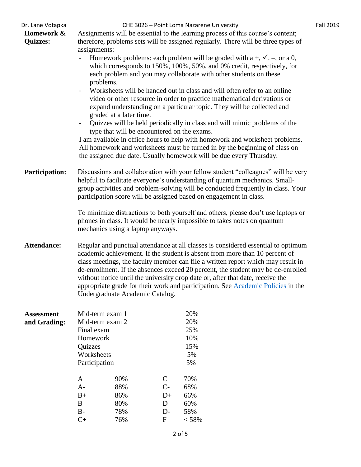| Dr. Lane Votapka<br>Homework &<br><b>Quizzes:</b> | CHE 3026 - Point Loma Nazarene University<br><b>Fall 2019</b><br>Assignments will be essential to the learning process of this course's content;<br>therefore, problems sets will be assigned regularly. There will be three types of<br>assignments:                                                                                                                                                                                                                                                                                             |                                                                                                                                                                                                                                                                                                                                                                                                                                                                    |                                           |                                 |  |  |  |  |
|---------------------------------------------------|---------------------------------------------------------------------------------------------------------------------------------------------------------------------------------------------------------------------------------------------------------------------------------------------------------------------------------------------------------------------------------------------------------------------------------------------------------------------------------------------------------------------------------------------------|--------------------------------------------------------------------------------------------------------------------------------------------------------------------------------------------------------------------------------------------------------------------------------------------------------------------------------------------------------------------------------------------------------------------------------------------------------------------|-------------------------------------------|---------------------------------|--|--|--|--|
|                                                   | Homework problems: each problem will be graded with $a +, \checkmark, -$ , or a 0,<br>which corresponds to 150%, 100%, 50%, and 0% credit, respectively, for<br>each problem and you may collaborate with other students on these<br>problems.<br>Worksheets will be handed out in class and will often refer to an online<br>video or other resource in order to practice mathematical derivations or                                                                                                                                            |                                                                                                                                                                                                                                                                                                                                                                                                                                                                    |                                           |                                 |  |  |  |  |
|                                                   | $\overline{\phantom{0}}$                                                                                                                                                                                                                                                                                                                                                                                                                                                                                                                          | expand understanding on a particular topic. They will be collected and<br>graded at a later time.<br>Quizzes will be held periodically in class and will mimic problems of the<br>type that will be encountered on the exams.<br>I am available in office hours to help with homework and worksheet problems.<br>All homework and worksheets must be turned in by the beginning of class on<br>the assigned due date. Usually homework will be due every Thursday. |                                           |                                 |  |  |  |  |
| <b>Participation:</b>                             | Discussions and collaboration with your fellow student "colleagues" will be very<br>helpful to facilitate everyone's understanding of quantum mechanics. Small-<br>group activities and problem-solving will be conducted frequently in class. Your<br>participation score will be assigned based on engagement in class.                                                                                                                                                                                                                         |                                                                                                                                                                                                                                                                                                                                                                                                                                                                    |                                           |                                 |  |  |  |  |
|                                                   | To minimize distractions to both yourself and others, please don't use laptops or<br>phones in class. It would be nearly impossible to takes notes on quantum<br>mechanics using a laptop anyways.                                                                                                                                                                                                                                                                                                                                                |                                                                                                                                                                                                                                                                                                                                                                                                                                                                    |                                           |                                 |  |  |  |  |
| <b>Attendance:</b>                                | Regular and punctual attendance at all classes is considered essential to optimum<br>academic achievement. If the student is absent from more than 10 percent of<br>class meetings, the faculty member can file a written report which may result in<br>de-enrollment. If the absences exceed 20 percent, the student may be de-enrolled<br>without notice until the university drop date or, after that date, receive the<br>appropriate grade for their work and participation. See Academic Policies in the<br>Undergraduate Academic Catalog. |                                                                                                                                                                                                                                                                                                                                                                                                                                                                    |                                           |                                 |  |  |  |  |
| <b>Assessment</b><br>and Grading:                 | Mid-term exam 1<br>Mid-term exam 2<br>Final exam                                                                                                                                                                                                                                                                                                                                                                                                                                                                                                  |                                                                                                                                                                                                                                                                                                                                                                                                                                                                    | 20%<br>20%<br>25%                         |                                 |  |  |  |  |
|                                                   | Homework<br>Quizzes<br>Worksheets<br>Participation                                                                                                                                                                                                                                                                                                                                                                                                                                                                                                |                                                                                                                                                                                                                                                                                                                                                                                                                                                                    |                                           | 10%<br>15%<br>5%<br>5%          |  |  |  |  |
|                                                   | A<br>$A-$<br>$B+$<br>B<br>$B-$                                                                                                                                                                                                                                                                                                                                                                                                                                                                                                                    | 90%<br>88%<br>86%<br>80%<br>78%                                                                                                                                                                                                                                                                                                                                                                                                                                    | $\mathsf{C}$<br>$C-$<br>$D+$<br>D<br>$D-$ | 70%<br>68%<br>66%<br>60%<br>58% |  |  |  |  |
|                                                   | $C+$                                                                                                                                                                                                                                                                                                                                                                                                                                                                                                                                              | 76%                                                                                                                                                                                                                                                                                                                                                                                                                                                                | $\mathbf F$                               | < 58%                           |  |  |  |  |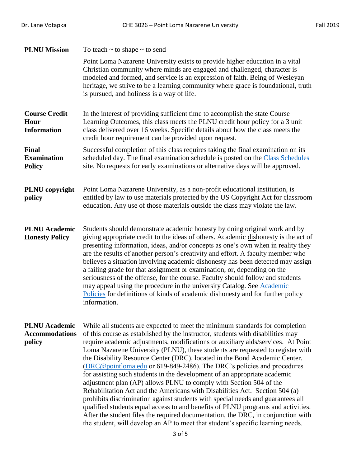| <b>PLNU Mission</b>                                     | To teach $\sim$ to shape $\sim$ to send                                                                                                                                                                                                                                                                                                                                                                                                                                                                                                                                                                                                                                                                                                                                                                                                                                                                                                                                                                                                                                       |  |
|---------------------------------------------------------|-------------------------------------------------------------------------------------------------------------------------------------------------------------------------------------------------------------------------------------------------------------------------------------------------------------------------------------------------------------------------------------------------------------------------------------------------------------------------------------------------------------------------------------------------------------------------------------------------------------------------------------------------------------------------------------------------------------------------------------------------------------------------------------------------------------------------------------------------------------------------------------------------------------------------------------------------------------------------------------------------------------------------------------------------------------------------------|--|
|                                                         | Point Loma Nazarene University exists to provide higher education in a vital<br>Christian community where minds are engaged and challenged, character is<br>modeled and formed, and service is an expression of faith. Being of Wesleyan<br>heritage, we strive to be a learning community where grace is foundational, truth<br>is pursued, and holiness is a way of life.                                                                                                                                                                                                                                                                                                                                                                                                                                                                                                                                                                                                                                                                                                   |  |
| <b>Course Credit</b><br>Hour<br><b>Information</b>      | In the interest of providing sufficient time to accomplish the state Course<br>Learning Outcomes, this class meets the PLNU credit hour policy for a 3 unit<br>class delivered over 16 weeks. Specific details about how the class meets the<br>credit hour requirement can be provided upon request.                                                                                                                                                                                                                                                                                                                                                                                                                                                                                                                                                                                                                                                                                                                                                                         |  |
| Final<br><b>Examination</b><br><b>Policy</b>            | Successful completion of this class requires taking the final examination on its<br>scheduled day. The final examination schedule is posted on the Class Schedules<br>site. No requests for early examinations or alternative days will be approved.                                                                                                                                                                                                                                                                                                                                                                                                                                                                                                                                                                                                                                                                                                                                                                                                                          |  |
| PLNU copyright<br>policy                                | Point Loma Nazarene University, as a non-profit educational institution, is<br>entitled by law to use materials protected by the US Copyright Act for classroom<br>education. Any use of those materials outside the class may violate the law.                                                                                                                                                                                                                                                                                                                                                                                                                                                                                                                                                                                                                                                                                                                                                                                                                               |  |
| <b>PLNU</b> Academic<br><b>Honesty Policy</b>           | Students should demonstrate academic honesty by doing original work and by<br>giving appropriate credit to the ideas of others. Academic dishonesty is the act of<br>presenting information, ideas, and/or concepts as one's own when in reality they<br>are the results of another person's creativity and effort. A faculty member who<br>believes a situation involving academic dishonesty has been detected may assign<br>a failing grade for that assignment or examination, or, depending on the<br>seriousness of the offense, for the course. Faculty should follow and students<br>may appeal using the procedure in the university Catalog. See Academic<br>Policies for definitions of kinds of academic dishonesty and for further policy<br>information.                                                                                                                                                                                                                                                                                                        |  |
| <b>PLNU</b> Academic<br><b>Accommodations</b><br>policy | While all students are expected to meet the minimum standards for completion<br>of this course as established by the instructor, students with disabilities may<br>require academic adjustments, modifications or auxiliary aids/services. At Point<br>Loma Nazarene University (PLNU), these students are requested to register with<br>the Disability Resource Center (DRC), located in the Bond Academic Center.<br>(DRC@pointloma.edu or 619-849-2486). The DRC's policies and procedures<br>for assisting such students in the development of an appropriate academic<br>adjustment plan (AP) allows PLNU to comply with Section 504 of the<br>Rehabilitation Act and the Americans with Disabilities Act. Section 504 (a)<br>prohibits discrimination against students with special needs and guarantees all<br>qualified students equal access to and benefits of PLNU programs and activities.<br>After the student files the required documentation, the DRC, in conjunction with<br>the student, will develop an AP to meet that student's specific learning needs. |  |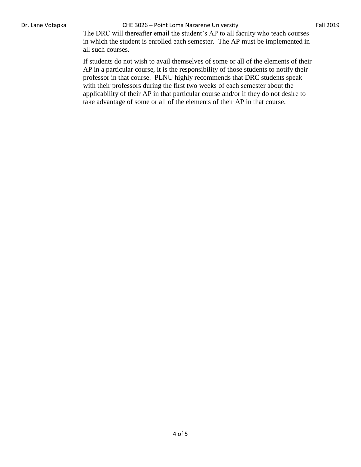## Dr. Lane Votapka **CHE 3026 – Point Loma Nazarene University** Fall 2019

The DRC will thereafter email the student's AP to all faculty who teach courses in which the student is enrolled each semester. The AP must be implemented in all such courses.

If students do not wish to avail themselves of some or all of the elements of their AP in a particular course, it is the responsibility of those students to notify their professor in that course. PLNU highly recommends that DRC students speak with their professors during the first two weeks of each semester about the applicability of their AP in that particular course and/or if they do not desire to take advantage of some or all of the elements of their AP in that course.